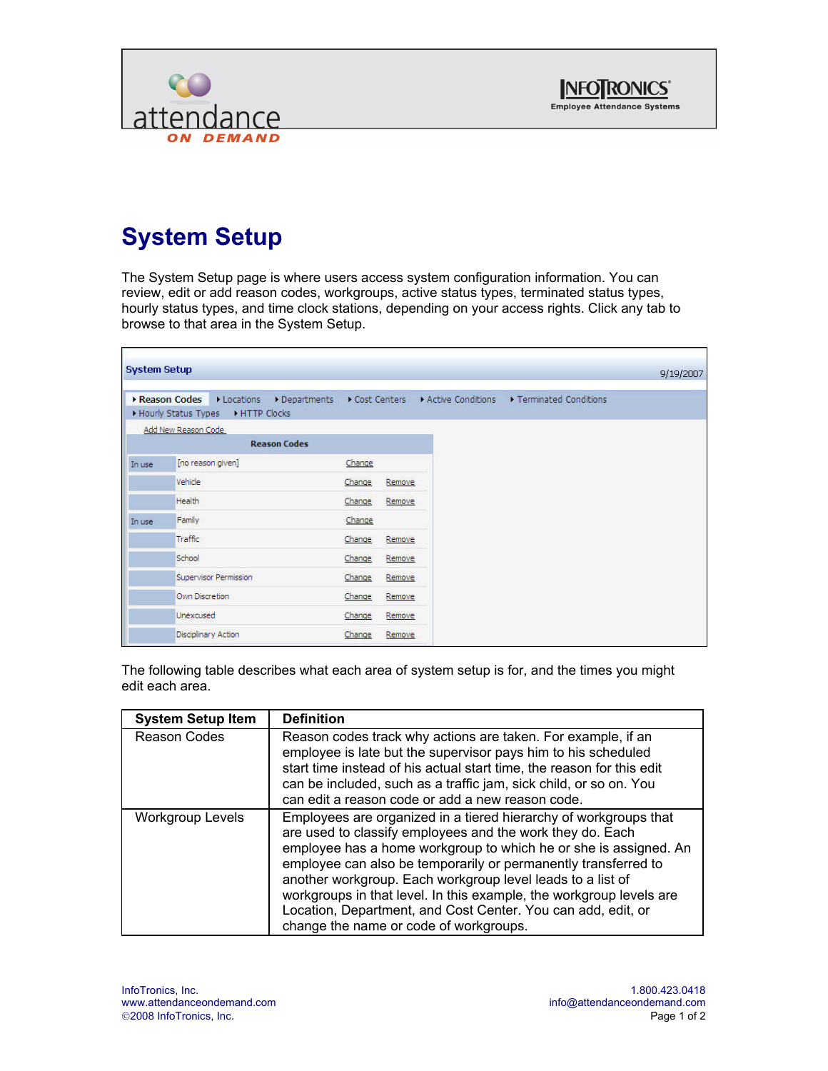



## **System Setup**

The System Setup page is where users access system configuration information. You can review, edit or add reason codes, workgroups, active status types, terminated status types, hourly status types, and time clock stations, depending on your access rights. Click any tab to browse to that area in the System Setup.

| <b>System Setup</b> |                                 |                     |              |        |                   |                       | 9/19/2007 |
|---------------------|---------------------------------|---------------------|--------------|--------|-------------------|-----------------------|-----------|
|                     | Reason Codes<br>• Locations     | Departments         | Cost Centers |        | Active Conditions | Terminated Conditions |           |
|                     | Hourly Status Types HTTP Clocks |                     |              |        |                   |                       |           |
|                     | Add New Reason Code             |                     |              |        |                   |                       |           |
|                     |                                 | <b>Reason Codes</b> |              |        |                   |                       |           |
| In use              | [no reason given]               |                     | Change       |        |                   |                       |           |
|                     | Vehicle                         |                     | Change       | Remove |                   |                       |           |
|                     | Health                          |                     | Change       | Remove |                   |                       |           |
| In use              | Family                          |                     | Change       |        |                   |                       |           |
|                     | Traffic                         |                     | Change       | Remove |                   |                       |           |
|                     | School                          |                     | Change       | Remove |                   |                       |           |
|                     | Supervisor Permission           |                     | Change       | Remove |                   |                       |           |
|                     | Own Discretion                  |                     | Change       | Remove |                   |                       |           |
|                     | Unexcused                       |                     | Change       | Remove |                   |                       |           |
|                     | Disciplinary Action             |                     | Change       | Remove |                   |                       |           |

The following table describes what each area of system setup is for, and the times you might edit each area.

| <b>System Setup Item</b> | <b>Definition</b>                                                                                                                                                                                                                                                                                                                                                                                                                                                                                                  |
|--------------------------|--------------------------------------------------------------------------------------------------------------------------------------------------------------------------------------------------------------------------------------------------------------------------------------------------------------------------------------------------------------------------------------------------------------------------------------------------------------------------------------------------------------------|
| <b>Reason Codes</b>      | Reason codes track why actions are taken. For example, if an<br>employee is late but the supervisor pays him to his scheduled<br>start time instead of his actual start time, the reason for this edit<br>can be included, such as a traffic jam, sick child, or so on. You<br>can edit a reason code or add a new reason code.                                                                                                                                                                                    |
| <b>Workgroup Levels</b>  | Employees are organized in a tiered hierarchy of workgroups that<br>are used to classify employees and the work they do. Each<br>employee has a home workgroup to which he or she is assigned. An<br>employee can also be temporarily or permanently transferred to<br>another workgroup. Each workgroup level leads to a list of<br>workgroups in that level. In this example, the workgroup levels are<br>Location, Department, and Cost Center. You can add, edit, or<br>change the name or code of workgroups. |